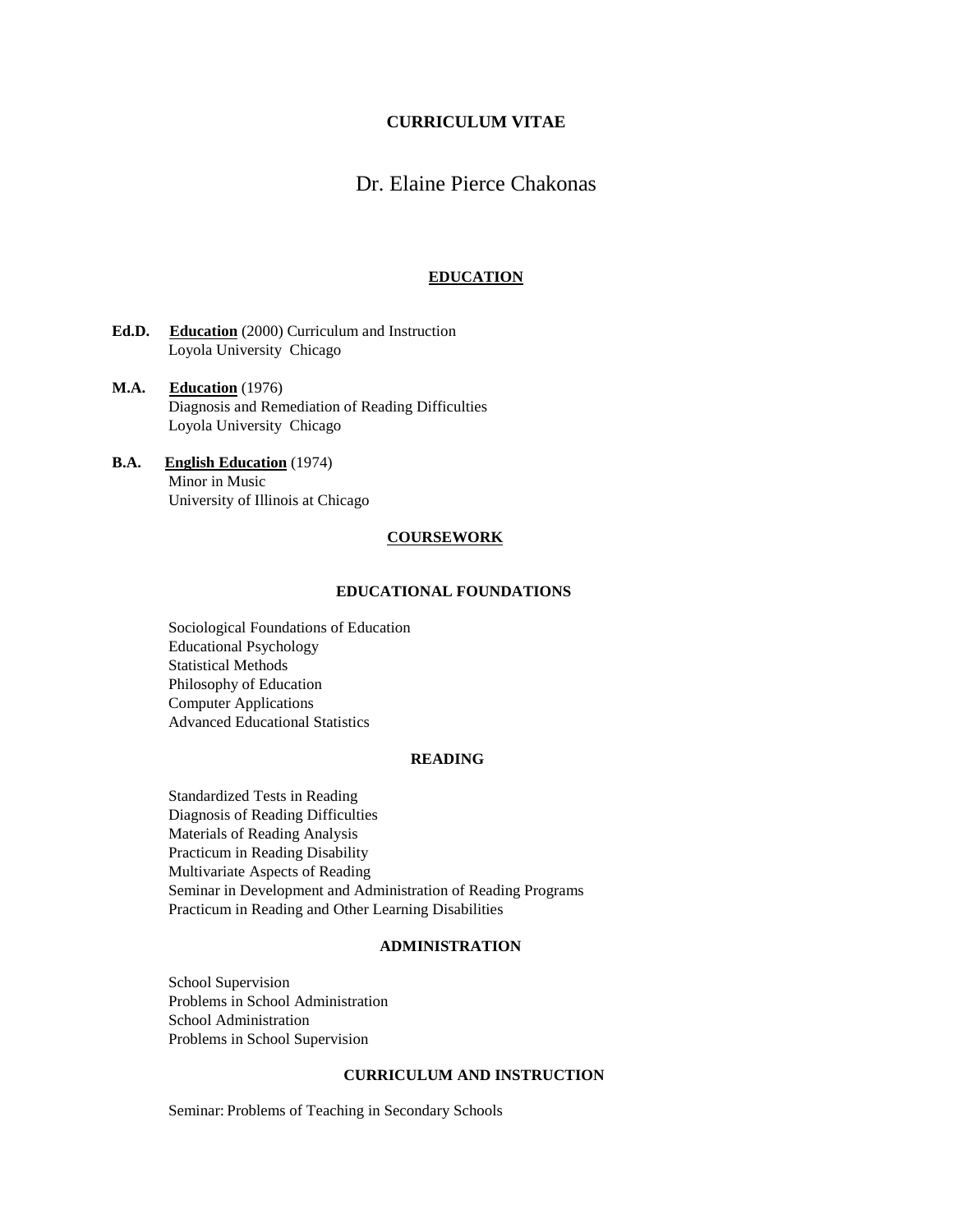## **CURRICULUM VITAE**

# Dr. Elaine Pierce Chakonas

### **EDUCATION**

- **Ed.D. Education** (2000) Curriculum and Instruction Loyola University Chicago
- **M.A. Education** (1976) Diagnosis and Remediation of Reading Difficulties Loyola University Chicago
- **B.A. English Education** (1974) Minor in Music University of Illinois at Chicago

### **COURSEWORK**

## **EDUCATIONAL FOUNDATIONS**

Sociological Foundations of Education Educational Psychology Statistical Methods Philosophy of Education Computer Applications Advanced Educational Statistics

#### **READING**

Standardized Tests in Reading Diagnosis of Reading Difficulties Materials of Reading Analysis Practicum in Reading Disability Multivariate Aspects of Reading Seminar in Development and Administration of Reading Programs Practicum in Reading and Other Learning Disabilities

## **ADMINISTRATION**

School Supervision Problems in School Administration School Administration Problems in School Supervision

#### **CURRICULUM AND INSTRUCTION**

Seminar: Problems of Teaching in Secondary Schools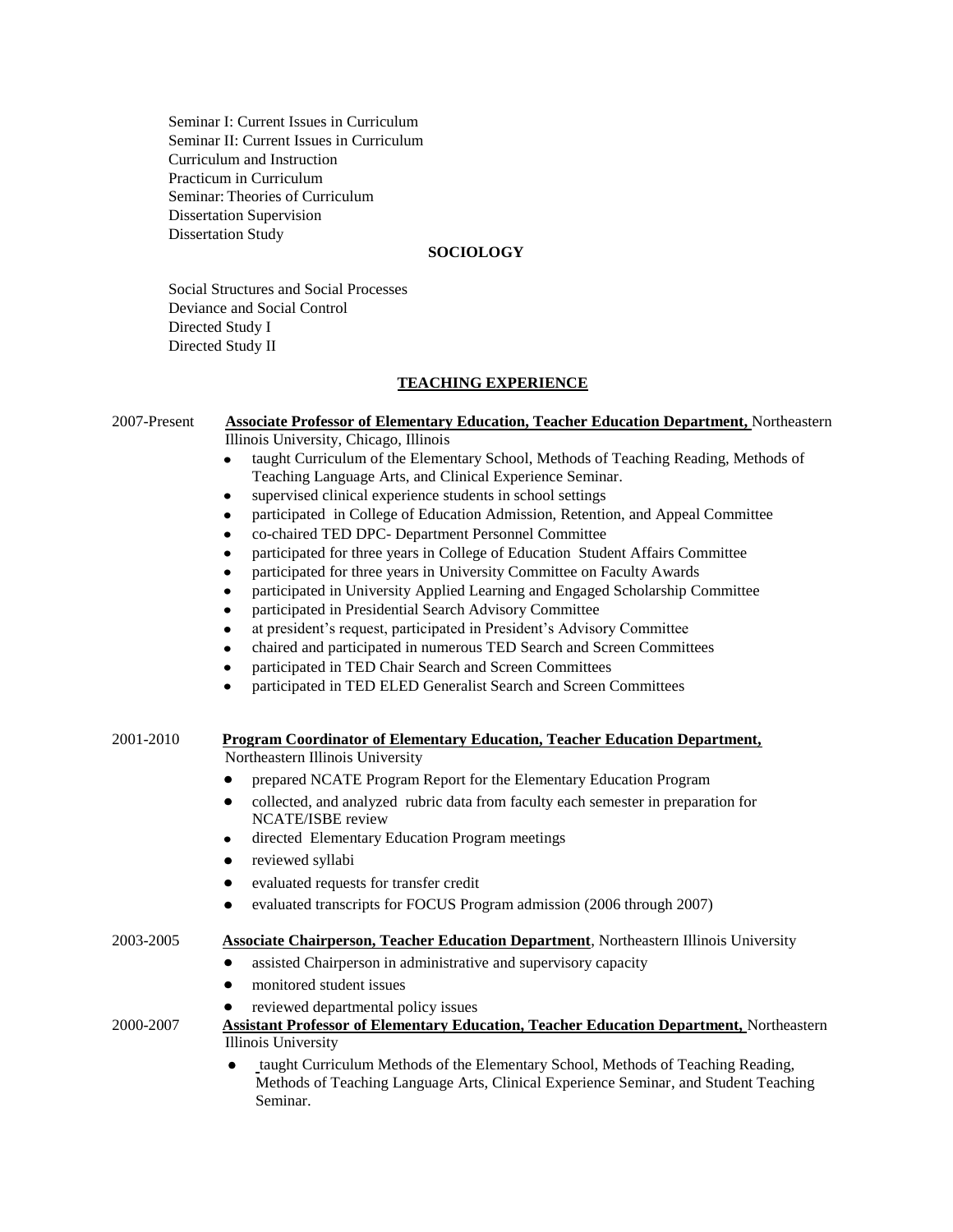Seminar I: Current Issues in Curriculum Seminar II: Current Issues in Curriculum Curriculum and Instruction Practicum in Curriculum Seminar: Theories of Curriculum Dissertation Supervision Dissertation Study

## **SOCIOLOGY**

Social Structures and Social Processes Deviance and Social Control Directed Study I Directed Study II

## **TEACHING EXPERIENCE**

| <b>Associate Professor of Elementary Education, Teacher Education Department, Northeastern</b><br>2007-Present |                                                                                                  |  |  |  |  |
|----------------------------------------------------------------------------------------------------------------|--------------------------------------------------------------------------------------------------|--|--|--|--|
|                                                                                                                | Illinois University, Chicago, Illinois                                                           |  |  |  |  |
|                                                                                                                | taught Curriculum of the Elementary School, Methods of Teaching Reading, Methods of<br>$\bullet$ |  |  |  |  |
| Teaching Language Arts, and Clinical Experience Seminar.                                                       |                                                                                                  |  |  |  |  |
|                                                                                                                | supervised clinical experience students in school settings<br>٠                                  |  |  |  |  |
|                                                                                                                | participated in College of Education Admission, Retention, and Appeal Committee<br>٠             |  |  |  |  |
|                                                                                                                | co-chaired TED DPC- Department Personnel Committee<br>$\bullet$                                  |  |  |  |  |
| participated for three years in College of Education Student Affairs Committee<br>$\bullet$                    |                                                                                                  |  |  |  |  |
|                                                                                                                | participated for three years in University Committee on Faculty Awards<br>$\bullet$              |  |  |  |  |
|                                                                                                                | participated in University Applied Learning and Engaged Scholarship Committee<br>$\bullet$       |  |  |  |  |
|                                                                                                                | participated in Presidential Search Advisory Committee<br>$\bullet$                              |  |  |  |  |
|                                                                                                                | at president's request, participated in President's Advisory Committee                           |  |  |  |  |
|                                                                                                                | chaired and participated in numerous TED Search and Screen Committees<br>٠                       |  |  |  |  |
|                                                                                                                | participated in TED Chair Search and Screen Committees<br>٠                                      |  |  |  |  |
|                                                                                                                | participated in TED ELED Generalist Search and Screen Committees<br>$\bullet$                    |  |  |  |  |
|                                                                                                                |                                                                                                  |  |  |  |  |
|                                                                                                                |                                                                                                  |  |  |  |  |
| 2001-2010                                                                                                      | <b>Program Coordinator of Elementary Education, Teacher Education Department,</b>                |  |  |  |  |
|                                                                                                                | Northeastern Illinois University                                                                 |  |  |  |  |
|                                                                                                                | prepared NCATE Program Report for the Elementary Education Program<br>$\bullet$                  |  |  |  |  |
|                                                                                                                | collected, and analyzed rubric data from faculty each semester in preparation for<br>$\bullet$   |  |  |  |  |
|                                                                                                                | <b>NCATE/ISBE</b> review                                                                         |  |  |  |  |
|                                                                                                                | directed Elementary Education Program meetings<br>٠                                              |  |  |  |  |
|                                                                                                                | reviewed syllabi<br>$\bullet$                                                                    |  |  |  |  |
|                                                                                                                | evaluated requests for transfer credit<br>$\bullet$                                              |  |  |  |  |
|                                                                                                                | evaluated transcripts for FOCUS Program admission (2006 through 2007)<br>٠                       |  |  |  |  |
|                                                                                                                |                                                                                                  |  |  |  |  |
| 2003-2005                                                                                                      | <b>Associate Chairperson, Teacher Education Department</b> , Northeastern Illinois University    |  |  |  |  |
|                                                                                                                | assisted Chairperson in administrative and supervisory capacity<br>$\bullet$                     |  |  |  |  |
|                                                                                                                | monitored student issues<br>$\bullet$                                                            |  |  |  |  |
|                                                                                                                | reviewed departmental policy issues                                                              |  |  |  |  |
| 2000-2007                                                                                                      | <b>Assistant Professor of Elementary Education, Teacher Education Department, Northeastern</b>   |  |  |  |  |
|                                                                                                                | <b>Illinois University</b>                                                                       |  |  |  |  |
|                                                                                                                | taught Curriculum Methods of the Elementary School, Methods of Teaching Reading,<br>$\bullet$    |  |  |  |  |
|                                                                                                                | Methods of Teaching Language Arts, Clinical Experience Seminar, and Student Teaching             |  |  |  |  |
|                                                                                                                | Seminar.                                                                                         |  |  |  |  |
|                                                                                                                |                                                                                                  |  |  |  |  |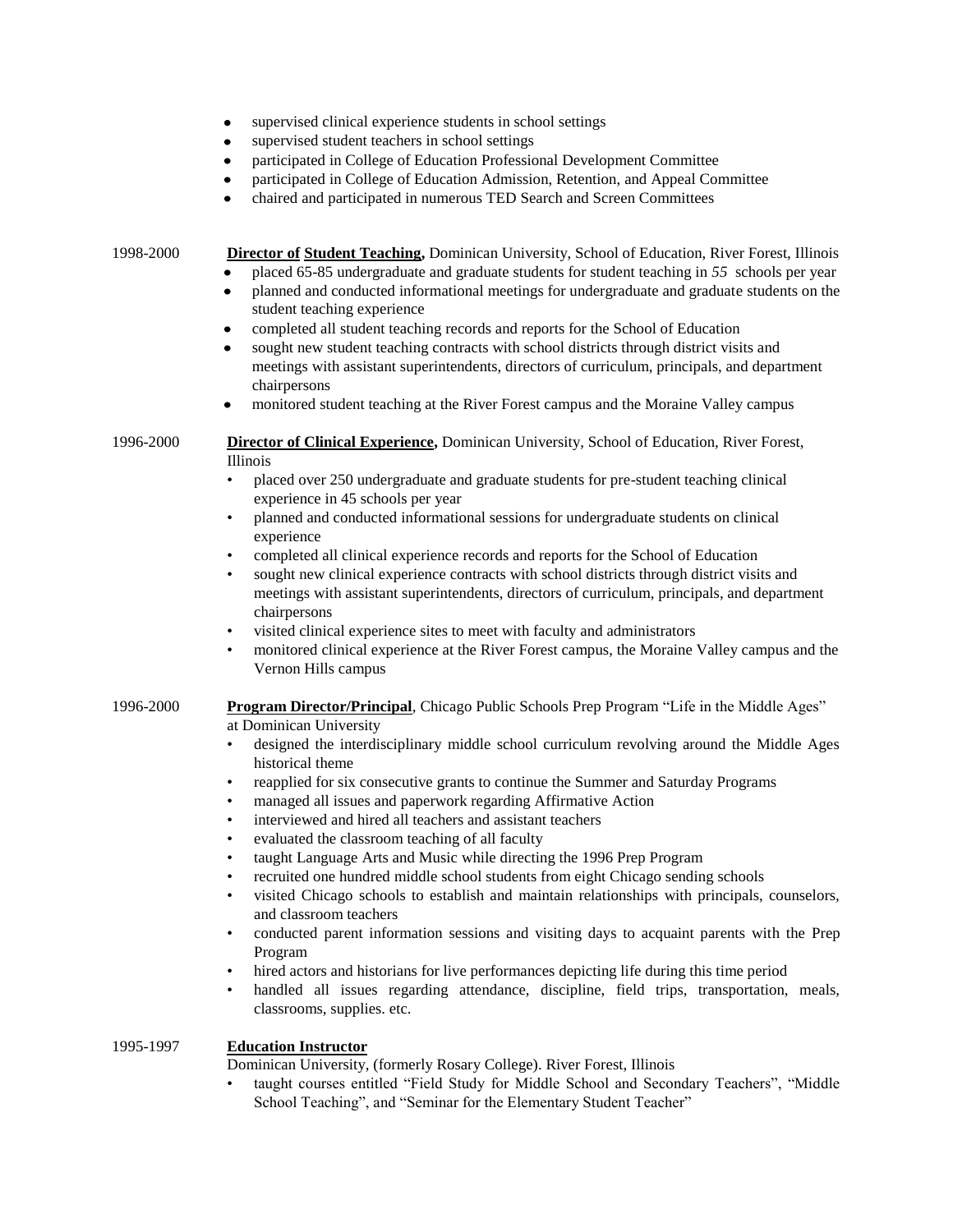- supervised clinical experience students in school settings  $\bullet$
- supervised student teachers in school settings  $\bullet$
- participated in College of Education Professional Development Committee
- participated in College of Education Admission, Retention, and Appeal Committee
- chaired and participated in numerous TED Search and Screen Committees

1998-2000 **Director of Student Teaching,** Dominican University, School of Education, River Forest, Illinois

- placed 65-85 undergraduate and graduate students for student teaching in *55* schools per year
- planned and conducted informational meetings for undergraduate and graduate students on the student teaching experience
- completed all student teaching records and reports for the School of Education
- sought new student teaching contracts with school districts through district visits and  $\bullet$ meetings with assistant superintendents, directors of curriculum, principals, and department chairpersons
- monitored student teaching at the River Forest campus and the Moraine Valley campus

1996-2000 **Director of Clinical Experience,** Dominican University, School of Education, River Forest, Illinois

- placed over 250 undergraduate and graduate students for pre-student teaching clinical experience in 45 schools per year
- planned and conducted informational sessions for undergraduate students on clinical experience
- completed all clinical experience records and reports for the School of Education
- sought new clinical experience contracts with school districts through district visits and meetings with assistant superintendents, directors of curriculum, principals, and department chairpersons
- visited clinical experience sites to meet with faculty and administrators
- monitored clinical experience at the River Forest campus, the Moraine Valley campus and the Vernon Hills campus

## 1996-2000 **Program Director/Principal**, Chicago Public Schools Prep Program "Life in the Middle Ages"

at Dominican University

- designed the interdisciplinary middle school curriculum revolving around the Middle Ages historical theme
- reapplied for six consecutive grants to continue the Summer and Saturday Programs
- managed all issues and paperwork regarding Affirmative Action
- interviewed and hired all teachers and assistant teachers
- evaluated the classroom teaching of all faculty
- taught Language Arts and Music while directing the 1996 Prep Program
- recruited one hundred middle school students from eight Chicago sending schools
- visited Chicago schools to establish and maintain relationships with principals, counselors, and classroom teachers
- conducted parent information sessions and visiting days to acquaint parents with the Prep Program
- hired actors and historians for live performances depicting life during this time period
- handled all issues regarding attendance, discipline, field trips, transportation, meals, classrooms, supplies. etc.

## 1995-1997 **Education Instructor**

Dominican University, (formerly Rosary College). River Forest, Illinois

• taught courses entitled "Field Study for Middle School and Secondary Teachers", "Middle School Teaching", and "Seminar for the Elementary Student Teacher"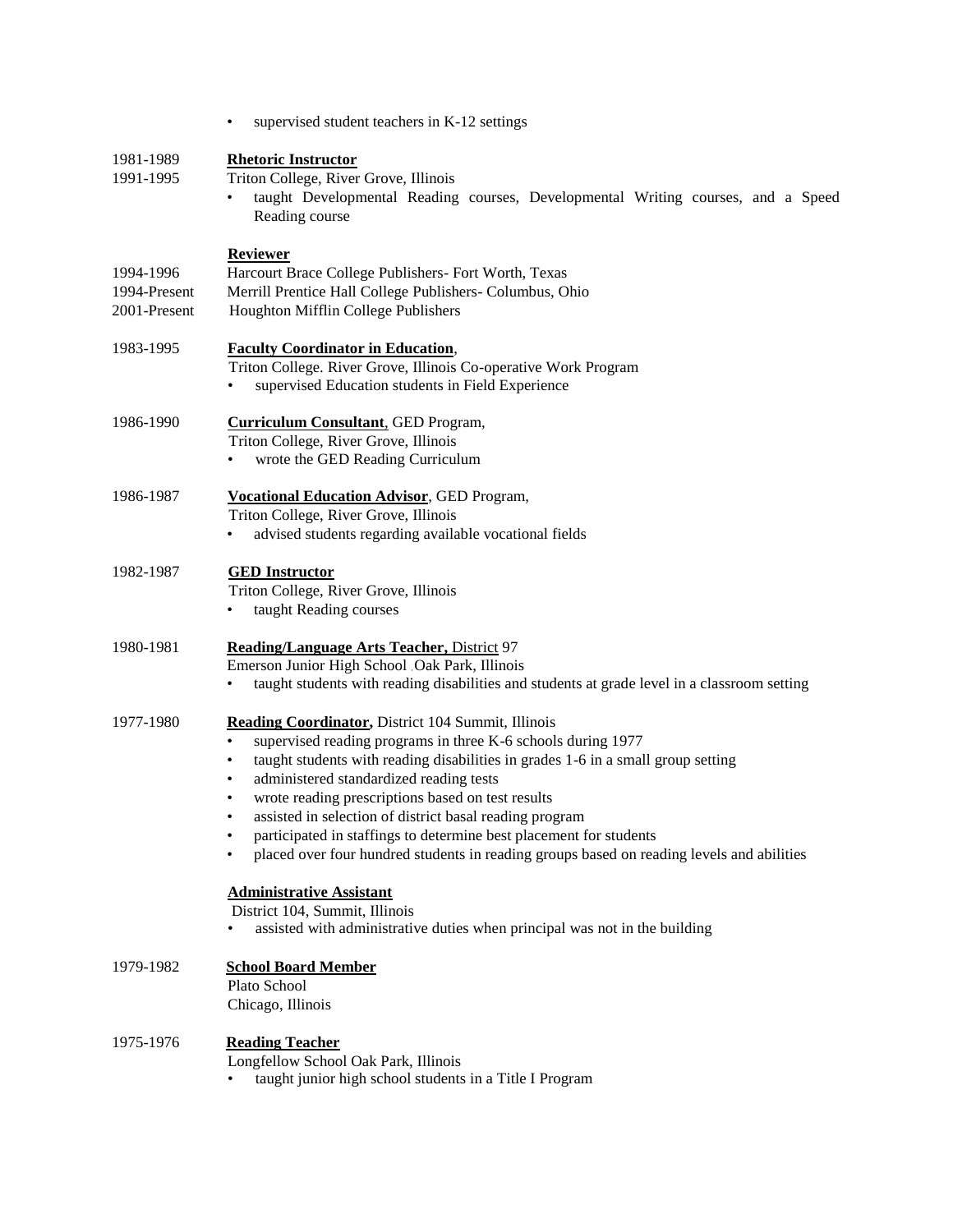|                                           | supervised student teachers in K-12 settings                                                                                                                                                                                                                                                                                                                                                                                                                                                                                                              |  |  |
|-------------------------------------------|-----------------------------------------------------------------------------------------------------------------------------------------------------------------------------------------------------------------------------------------------------------------------------------------------------------------------------------------------------------------------------------------------------------------------------------------------------------------------------------------------------------------------------------------------------------|--|--|
| 1981-1989<br>1991-1995                    | <b>Rhetoric Instructor</b><br>Triton College, River Grove, Illinois<br>taught Developmental Reading courses, Developmental Writing courses, and a Speed<br>Reading course                                                                                                                                                                                                                                                                                                                                                                                 |  |  |
| 1994-1996<br>1994-Present<br>2001-Present | <b>Reviewer</b><br>Harcourt Brace College Publishers- Fort Worth, Texas<br>Merrill Prentice Hall College Publishers- Columbus, Ohio<br>Houghton Mifflin College Publishers                                                                                                                                                                                                                                                                                                                                                                                |  |  |
| 1983-1995                                 | <b>Faculty Coordinator in Education,</b><br>Triton College. River Grove, Illinois Co-operative Work Program<br>supervised Education students in Field Experience                                                                                                                                                                                                                                                                                                                                                                                          |  |  |
| 1986-1990                                 | <b>Curriculum Consultant</b> , GED Program,<br>Triton College, River Grove, Illinois<br>wrote the GED Reading Curriculum<br>$\bullet$                                                                                                                                                                                                                                                                                                                                                                                                                     |  |  |
| 1986-1987                                 | <b>Vocational Education Advisor</b> , GED Program,<br>Triton College, River Grove, Illinois<br>advised students regarding available vocational fields                                                                                                                                                                                                                                                                                                                                                                                                     |  |  |
| 1982-1987                                 | <b>GED</b> Instructor<br>Triton College, River Grove, Illinois<br>taught Reading courses                                                                                                                                                                                                                                                                                                                                                                                                                                                                  |  |  |
| 1980-1981                                 | <b>Reading/Language Arts Teacher, District 97</b><br>Emerson Junior High School Oak Park, Illinois<br>taught students with reading disabilities and students at grade level in a classroom setting                                                                                                                                                                                                                                                                                                                                                        |  |  |
| 1977-1980                                 | <b>Reading Coordinator</b> , District 104 Summit, Illinois<br>supervised reading programs in three K-6 schools during 1977<br>$\bullet$<br>taught students with reading disabilities in grades 1-6 in a small group setting<br>administered standardized reading tests<br>wrote reading prescriptions based on test results<br>assisted in selection of district basal reading program<br>participated in staffings to determine best placement for students<br>placed over four hundred students in reading groups based on reading levels and abilities |  |  |
|                                           | <b>Administrative Assistant</b><br>District 104, Summit, Illinois<br>assisted with administrative duties when principal was not in the building                                                                                                                                                                                                                                                                                                                                                                                                           |  |  |
| 1979-1982                                 | <b>School Board Member</b><br>Plato School<br>Chicago, Illinois                                                                                                                                                                                                                                                                                                                                                                                                                                                                                           |  |  |
| 1975-1976                                 | <b>Reading Teacher</b><br>Longfellow School Oak Park, Illinois<br>taught junior high school students in a Title I Program                                                                                                                                                                                                                                                                                                                                                                                                                                 |  |  |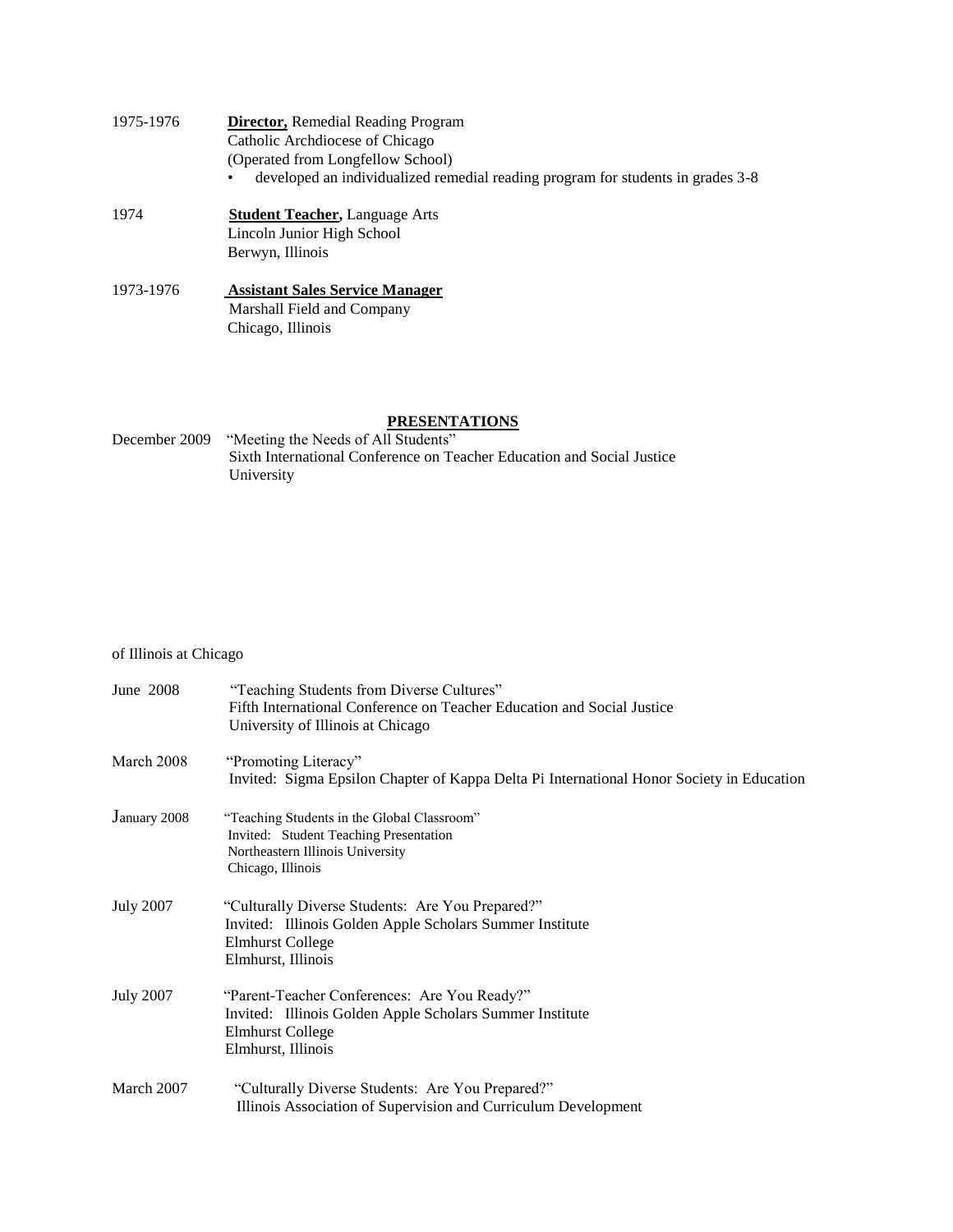| 1975-1976 | <b>Director, Remedial Reading Program</b>                                       |  |  |
|-----------|---------------------------------------------------------------------------------|--|--|
|           | Catholic Archdiocese of Chicago                                                 |  |  |
|           | (Operated from Longfellow School)                                               |  |  |
|           | developed an individualized remedial reading program for students in grades 3-8 |  |  |
| 1974      | <b>Student Teacher, Language Arts</b>                                           |  |  |
|           | Lincoln Junior High School                                                      |  |  |
|           | Berwyn, Illinois                                                                |  |  |
| 1973-1976 | <b>Assistant Sales Service Manager</b>                                          |  |  |
|           | Marshall Field and Company                                                      |  |  |

Chicago, Illinois

# **PRESENTATIONS**

| December 2009 | "Meeting the Needs of All Students"                                    |
|---------------|------------------------------------------------------------------------|
|               | Sixth International Conference on Teacher Education and Social Justice |
|               | University                                                             |

# of Illinois at Chicago

| June 2008        | "Teaching Students from Diverse Cultures"<br>Fifth International Conference on Teacher Education and Social Justice<br>University of Illinois at Chicago      |
|------------------|---------------------------------------------------------------------------------------------------------------------------------------------------------------|
| March 2008       | "Promoting Literacy"<br>Invited: Sigma Epsilon Chapter of Kappa Delta Pi International Honor Society in Education                                             |
| January 2008     | "Teaching Students in the Global Classroom"<br>Invited: Student Teaching Presentation<br>Northeastern Illinois University<br>Chicago, Illinois                |
| <b>July 2007</b> | "Culturally Diverse Students: Are You Prepared?"<br>Invited: Illinois Golden Apple Scholars Summer Institute<br><b>Elmhurst College</b><br>Elmhurst, Illinois |
| <b>July 2007</b> | "Parent-Teacher Conferences: Are You Ready?"<br>Invited: Illinois Golden Apple Scholars Summer Institute<br><b>Elmhurst College</b><br>Elmhurst, Illinois     |
| March 2007       | "Culturally Diverse Students: Are You Prepared?"<br>Illinois Association of Supervision and Curriculum Development                                            |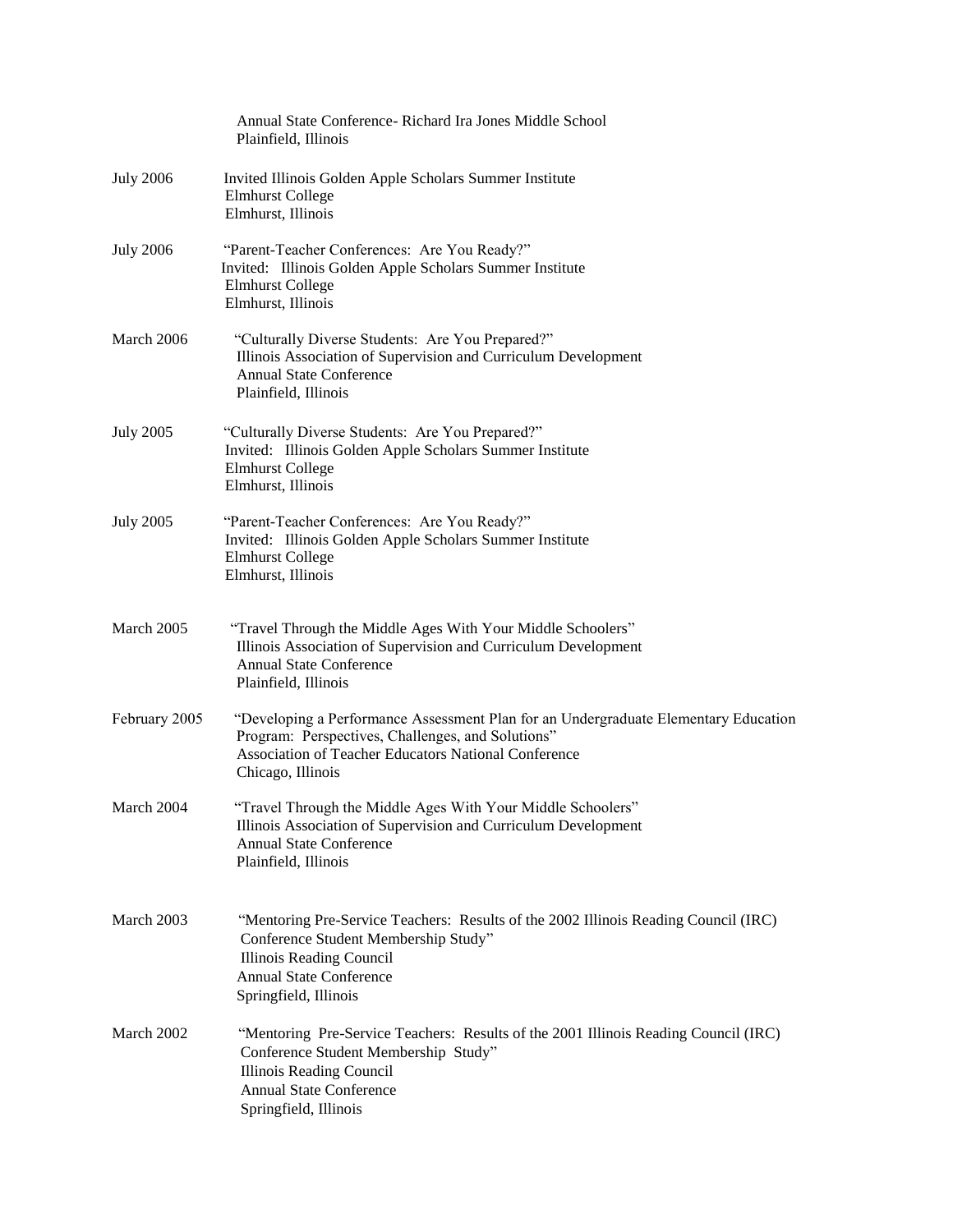|                  | Annual State Conference - Richard Ira Jones Middle School<br>Plainfield, Illinois                                                                                                                                     |
|------------------|-----------------------------------------------------------------------------------------------------------------------------------------------------------------------------------------------------------------------|
| <b>July 2006</b> | Invited Illinois Golden Apple Scholars Summer Institute<br><b>Elmhurst College</b><br>Elmhurst, Illinois                                                                                                              |
| <b>July 2006</b> | "Parent-Teacher Conferences: Are You Ready?"<br>Invited: Illinois Golden Apple Scholars Summer Institute<br><b>Elmhurst College</b><br>Elmhurst, Illinois                                                             |
| March 2006       | "Culturally Diverse Students: Are You Prepared?"<br>Illinois Association of Supervision and Curriculum Development<br><b>Annual State Conference</b><br>Plainfield, Illinois                                          |
| <b>July 2005</b> | "Culturally Diverse Students: Are You Prepared?"<br>Invited: Illinois Golden Apple Scholars Summer Institute<br><b>Elmhurst College</b><br>Elmhurst, Illinois                                                         |
| <b>July 2005</b> | "Parent-Teacher Conferences: Are You Ready?"<br>Invited: Illinois Golden Apple Scholars Summer Institute<br><b>Elmhurst College</b><br>Elmhurst, Illinois                                                             |
| March 2005       | "Travel Through the Middle Ages With Your Middle Schoolers"<br>Illinois Association of Supervision and Curriculum Development<br><b>Annual State Conference</b><br>Plainfield, Illinois                               |
| February 2005    | "Developing a Performance Assessment Plan for an Undergraduate Elementary Education<br>Program: Perspectives, Challenges, and Solutions"<br>Association of Teacher Educators National Conference<br>Chicago, Illinois |
| March 2004       | "Travel Through the Middle Ages With Your Middle Schoolers"<br>Illinois Association of Supervision and Curriculum Development<br><b>Annual State Conference</b><br>Plainfield, Illinois                               |
| March 2003       | "Mentoring Pre-Service Teachers: Results of the 2002 Illinois Reading Council (IRC)<br>Conference Student Membership Study"<br>Illinois Reading Council<br><b>Annual State Conference</b><br>Springfield, Illinois    |
| March 2002       | "Mentoring Pre-Service Teachers: Results of the 2001 Illinois Reading Council (IRC)<br>Conference Student Membership Study"<br>Illinois Reading Council<br><b>Annual State Conference</b><br>Springfield, Illinois    |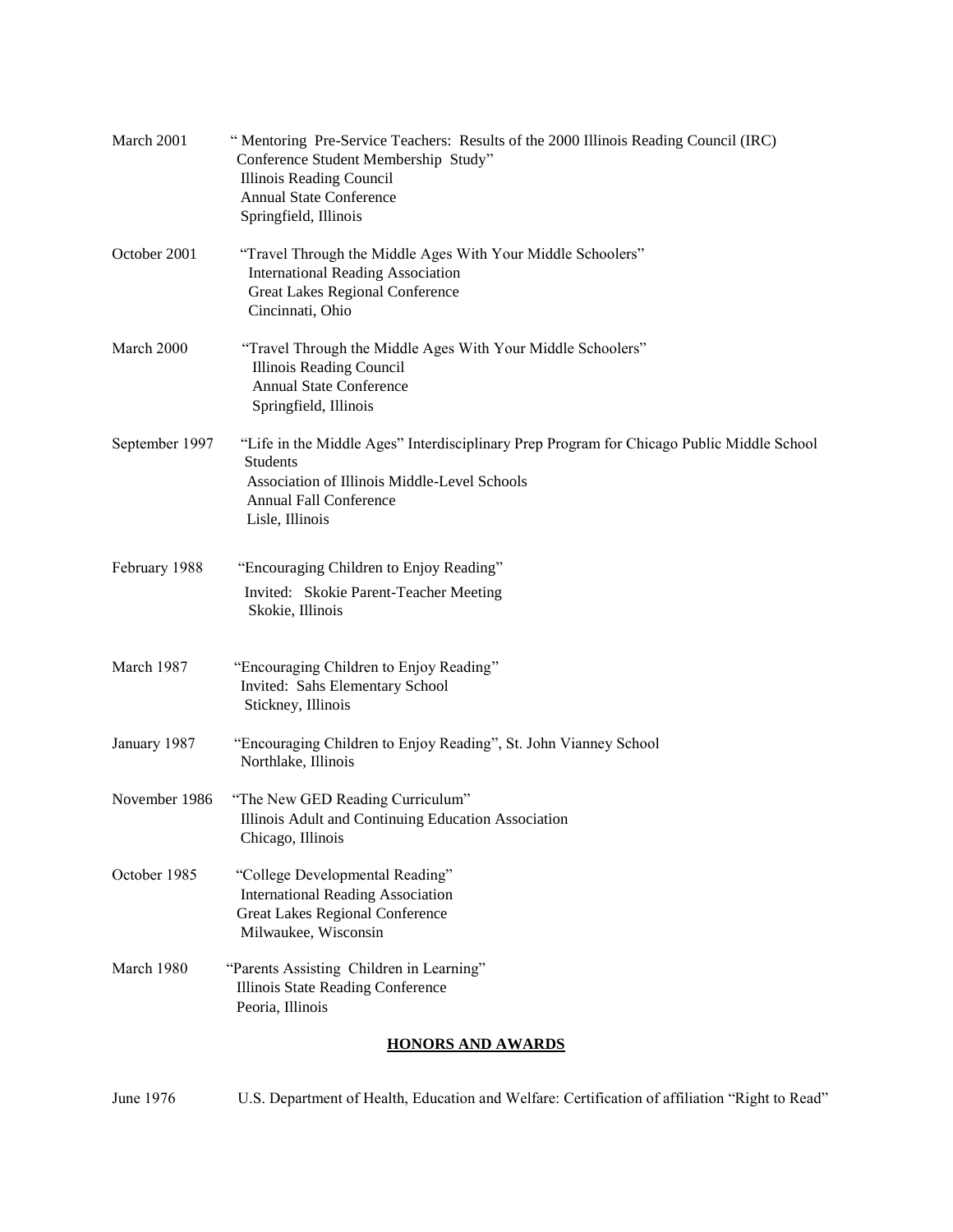|                | <b>HONORS AND AWARDS</b>                                                                                                                                                                                          |  |  |
|----------------|-------------------------------------------------------------------------------------------------------------------------------------------------------------------------------------------------------------------|--|--|
| March 1980     | "Parents Assisting Children in Learning"<br>Illinois State Reading Conference<br>Peoria, Illinois                                                                                                                 |  |  |
| October 1985   | "College Developmental Reading"<br><b>International Reading Association</b><br><b>Great Lakes Regional Conference</b><br>Milwaukee, Wisconsin                                                                     |  |  |
| November 1986  | "The New GED Reading Curriculum"<br>Illinois Adult and Continuing Education Association<br>Chicago, Illinois                                                                                                      |  |  |
| January 1987   | "Encouraging Children to Enjoy Reading", St. John Vianney School<br>Northlake, Illinois                                                                                                                           |  |  |
| March 1987     | "Encouraging Children to Enjoy Reading"<br>Invited: Sahs Elementary School<br>Stickney, Illinois                                                                                                                  |  |  |
| February 1988  | "Encouraging Children to Enjoy Reading"<br>Invited: Skokie Parent-Teacher Meeting<br>Skokie, Illinois                                                                                                             |  |  |
| September 1997 | "Life in the Middle Ages" Interdisciplinary Prep Program for Chicago Public Middle School<br><b>Students</b><br>Association of Illinois Middle-Level Schools<br><b>Annual Fall Conference</b><br>Lisle, Illinois  |  |  |
| March 2000     | "Travel Through the Middle Ages With Your Middle Schoolers"<br><b>Illinois Reading Council</b><br>Annual State Conference<br>Springfield, Illinois                                                                |  |  |
| October 2001   | "Travel Through the Middle Ages With Your Middle Schoolers"<br><b>International Reading Association</b><br><b>Great Lakes Regional Conference</b><br>Cincinnati, Ohio                                             |  |  |
| March 2001     | Mentoring Pre-Service Teachers: Results of the 2000 Illinois Reading Council (IRC)<br>Conference Student Membership Study"<br>Illinois Reading Council<br><b>Annual State Conference</b><br>Springfield, Illinois |  |  |

June 1976 U.S. Department of Health, Education and Welfare: Certification of affiliation "Right to Read"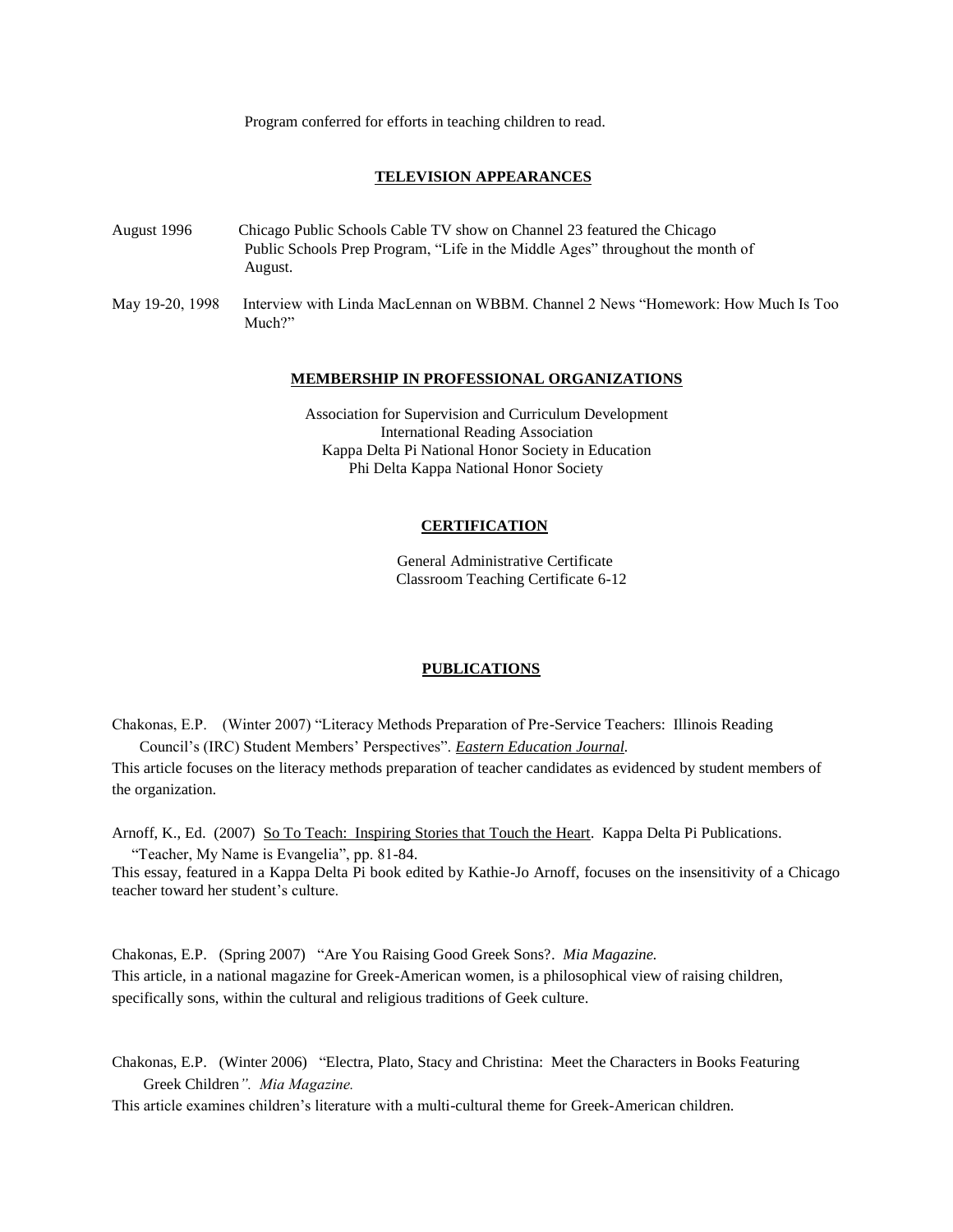Program conferred for efforts in teaching children to read.

## **TELEVISION APPEARANCES**

- August 1996 Chicago Public Schools Cable TV show on Channel 23 featured the Chicago Public Schools Prep Program, "Life in the Middle Ages" throughout the month of August.
- May 19-20, 1998 Interview with Linda MacLennan on WBBM. Channel 2 News "Homework: How Much Is Too Much?"

#### **MEMBERSHIP IN PROFESSIONAL ORGANIZATIONS**

Association for Supervision and Curriculum Development International Reading Association Kappa Delta Pi National Honor Society in Education Phi Delta Kappa National Honor Society

### **CERTIFICATION**

General Administrative Certificate Classroom Teaching Certificate 6-12

#### **PUBLICATIONS**

Chakonas, E.P. (Winter 2007) "Literacy Methods Preparation of Pre-Service Teachers: Illinois Reading Council's (IRC) Student Members' Perspectives". *Eastern Education Journal.*

This article focuses on the literacy methods preparation of teacher candidates as evidenced by student members of the organization.

Arnoff, K., Ed. (2007) So To Teach: Inspiring Stories that Touch the Heart. Kappa Delta Pi Publications. "Teacher, My Name is Evangelia", pp. 81-84.

This essay, featured in a Kappa Delta Pi book edited by Kathie-Jo Arnoff, focuses on the insensitivity of a Chicago teacher toward her student's culture.

Chakonas, E.P. (Spring 2007) "Are You Raising Good Greek Sons?. *Mia Magazine.* This article, in a national magazine for Greek-American women, is a philosophical view of raising children, specifically sons, within the cultural and religious traditions of Geek culture.

Chakonas, E.P. (Winter 2006) "Electra, Plato, Stacy and Christina: Meet the Characters in Books Featuring Greek Children*". Mia Magazine.*

This article examines children's literature with a multi-cultural theme for Greek-American children.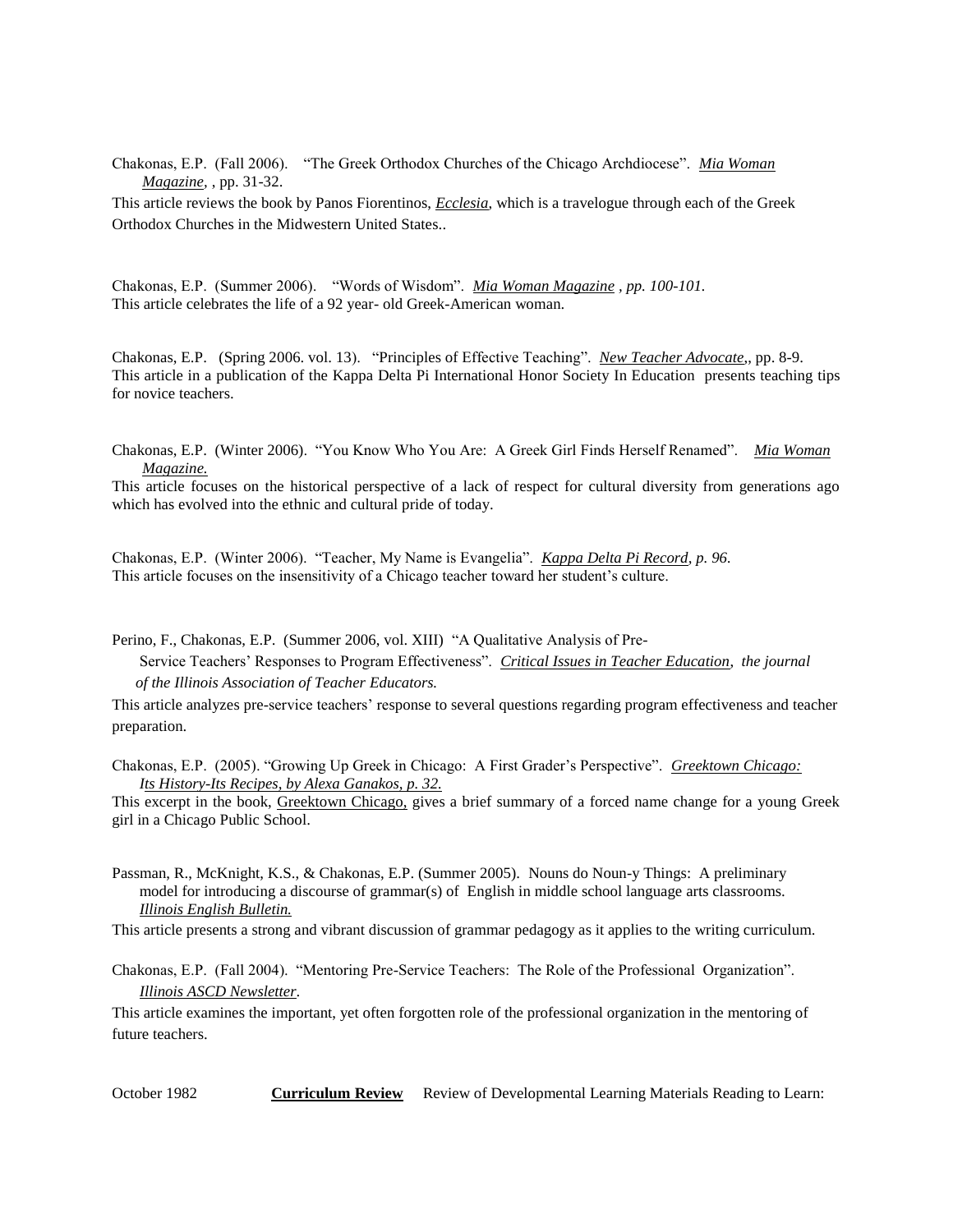Chakonas, E.P. (Fall 2006). "The Greek Orthodox Churches of the Chicago Archdiocese". *Mia Woman Magazine,* , pp. 31-32.

This article reviews the book by Panos Fiorentinos, *Ecclesia*, which is a travelogue through each of the Greek Orthodox Churches in the Midwestern United States..

Chakonas, E.P. (Summer 2006). "Words of Wisdom". *Mia Woman Magazine , pp. 100-101.* This article celebrates the life of a 92 year- old Greek-American woman.

Chakonas, E.P. (Spring 2006. vol. 13). "Principles of Effective Teaching". *New Teacher Advocate*,, pp. 8-9. This article in a publication of the Kappa Delta Pi International Honor Society In Education presents teaching tips for novice teachers.

Chakonas, E.P. (Winter 2006). "You Know Who You Are: A Greek Girl Finds Herself Renamed". *Mia Woman Magazine.*

This article focuses on the historical perspective of a lack of respect for cultural diversity from generations ago which has evolved into the ethnic and cultural pride of today.

Chakonas, E.P. (Winter 2006). "Teacher, My Name is Evangelia". *Kappa Delta Pi Record, p. 96.* This article focuses on the insensitivity of a Chicago teacher toward her student's culture.

Perino, F., Chakonas, E.P. (Summer 2006, vol. XIII) "A Qualitative Analysis of Pre-

 Service Teachers' Responses to Program Effectiveness". *Critical Issues in Teacher Education*, *the journal of the Illinois Association of Teacher Educators.*

This article analyzes pre-service teachers' response to several questions regarding program effectiveness and teacher preparation.

Chakonas, E.P. (2005). "Growing Up Greek in Chicago: A First Grader's Perspective". *Greektown Chicago: Its History-Its Recipes, by Alexa Ganakos, p. 32.*

This excerpt in the book, Greektown Chicago, gives a brief summary of a forced name change for a young Greek girl in a Chicago Public School.

Passman, R., McKnight, K.S., & Chakonas, E.P. (Summer 2005). Nouns do Noun-y Things: A preliminary model for introducing a discourse of grammar(s) of English in middle school language arts classrooms. *Illinois English Bulletin.*

This article presents a strong and vibrant discussion of grammar pedagogy as it applies to the writing curriculum.

Chakonas, E.P. (Fall 2004). "Mentoring Pre-Service Teachers: The Role of the Professional Organization". *Illinois ASCD Newsletter*.

This article examines the important, yet often forgotten role of the professional organization in the mentoring of future teachers.

**October 1982 <b>Curriculum Review** Review of Developmental Learning Materials Reading to Learn: